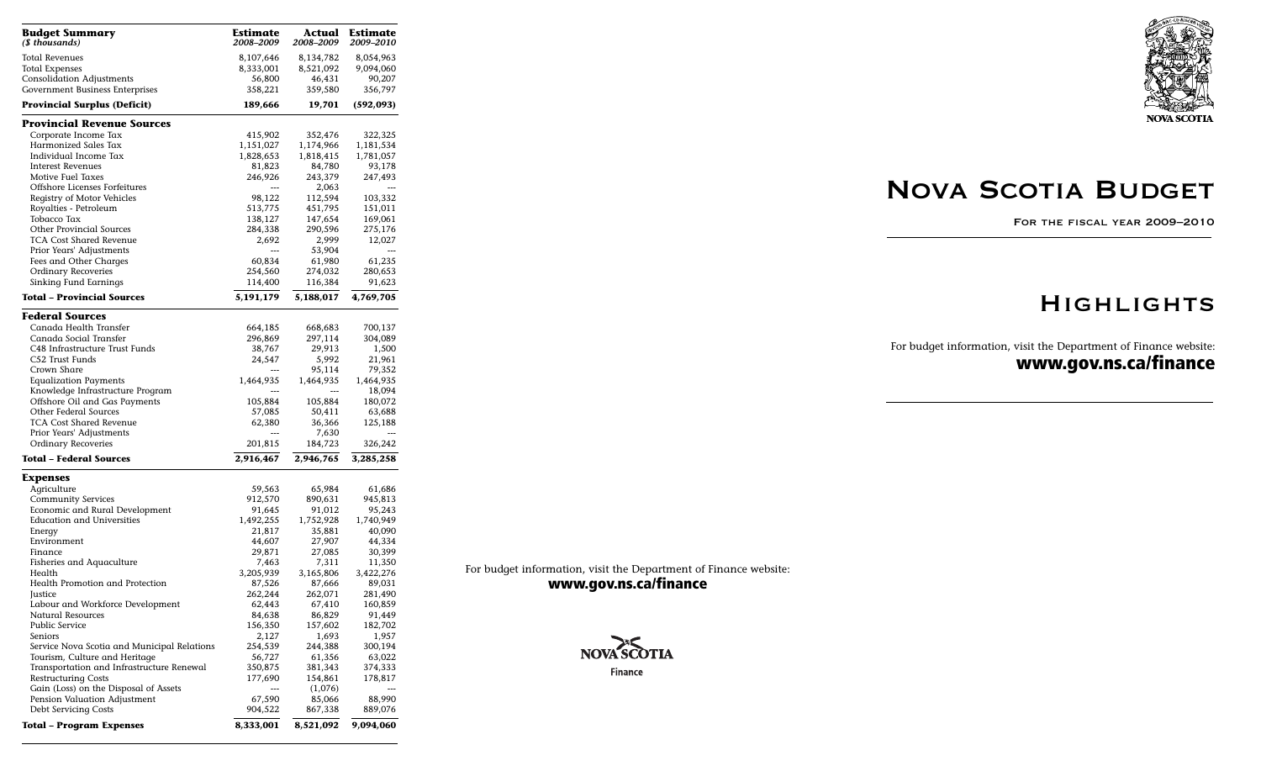| Budget Summary<br>(\$ thousands)            | Estimate<br>2008–2009 | Actual<br>2008–2009 | Estimate<br>2009–2010 |
|---------------------------------------------|-----------------------|---------------------|-----------------------|
| Total Revenues                              | 8,107,646             | 8,134,782           | 8,054,963             |
| Total Expenses                              | 8,333,001             | 8,521,092           | 9,094,060             |
| <b>Consolidation Adjustments</b>            | 56,800                | 46,431              | 90,207                |
| Government Business Enterprises             | 358,221               | 359,580             | 356,797               |
| Provincial Surplus (Deficit)                | 189,666               | 19,701              | (592, 093)            |
| Provincial Revenue Sources                  |                       |                     |                       |
| Corporate Income Tax                        | 415,902               | 352,476             | 322,325               |
| Harmonized Sales Tax                        | 1,151,027             | 1,174,966           | 1,181,534             |
| Individual Income Tax                       | 1,828,653             | 1,818,415           | 1,781,057             |
| <b>Interest Revenues</b>                    | 81,823                | 84,780              | 93,178                |
| Motive Fuel Taxes                           | 246,926               | 243,379             | 247,493               |
| Offshore Licenses Forfeitures               | ---                   | 2,063               | $---$                 |
| Registry of Motor Vehicles                  | 98,122                | 112,594             | 103,332               |
| Royalties - Petroleum                       | 513,775               | 451,795             | 151,011               |
| Tobacco Tax                                 | 138,127               | 147,654             | 169,061               |
| <b>Other Provincial Sources</b>             | 284,338               | 290,596             | 275,176               |
| <b>TCA Cost Shared Revenue</b>              | 2,692                 | 2,999               | 12,027                |
| Prior Years' Adjustments                    | ---                   | 53,904              | ---                   |
| Fees and Other Charges                      | 60,834                | 61,980              | 61,235                |
| Ordinary Recoveries                         | 254,560               | 274,032             | 280,653               |
| Sinking Fund Earnings                       | 114,400               | 116,384             | 91,623                |
| <b>Total – Provincial Sources</b>           | 5,191,179             | 5,188,017           | 4,769,705             |
| Federal Sources                             |                       |                     |                       |
| Canada Health Transfer                      | 664,185               | 668,683             | 700,137               |
| Canada Social Transfer                      | 296,869               | 297,114             | 304,089               |
| C48 Infrastructure Trust Funds              | 38,767                | 29,913              | 1,500                 |
| C52 Trust Funds                             | 24,547                | 5,992               | 21,961                |
| Crown Share                                 |                       | 95,114              | 79,352                |
| <b>Equalization Payments</b>                | 1,464,935             | 1,464,935           | 1,464,935             |
| Knowledge Infrastructure Program            |                       |                     | 18,094                |
| Offshore Oil and Gas Payments               | 105,884               | 105,884             | 180,072               |
| Other Federal Sources                       | 57,085                | 50,411              | 63,688                |
| <b>TCA Cost Shared Revenue</b>              | 62,380                | 36,366              | 125,188               |
| Prior Years' Adjustments                    |                       | 7,630               |                       |
| Ordinary Recoveries                         | 201,815               | 184,723             | 326,242               |
| Total – Federal Sources                     | 2,916,467             | 2,946,765           | 3,285,258             |
| Expenses                                    |                       |                     |                       |
| Agriculture                                 | 59,563                | 65,984              | 61,686                |
| <b>Community Services</b>                   | 912,570               | 890,631             | 945,813               |
| Economic and Rural Development              | 91,645                | 91,012              | 95,243                |
| <b>Education and Universities</b>           | 1,492,255             | 1,752,928           | 1,740,949             |
| Energy                                      | 21,817                | 35,881              | 40,090                |
| Environment                                 | 44,607                | 27,907              | 44,334                |
| Finance                                     | 29,871                | 27,085              | 30,399                |
| Fisheries and Aquaculture                   | 7,463                 | 7,311               | 11,350                |
| Health                                      | 3,205,939             | 3,165,806           | 3,422,276             |
| Health Promotion and Protection             | 87,526                | 87,666              | 89,031                |
| Justice                                     | 262,244               | 262,071             | 281,490               |
| Labour and Workforce Development            | 62,443                | 67,410              | 160,859               |
| <b>Natural Resources</b>                    | 84,638                | 86,829              | 91,449                |
| Public Service                              | 156,350               | 157,602             | 182,702               |
| Seniors                                     | 2,127                 | 1,693               | 1,957                 |
| Service Nova Scotia and Municipal Relations | 254,539               | 244,388             | 300,194               |
| Tourism, Culture and Heritage               | 56,727                | 61,356              | 63,022                |
| Transportation and Infrastructure Renewal   | 350,875               | 381,343             | 374,333               |
| <b>Restructuring Costs</b>                  | 177,690               | 154,861             | 178,817               |
| Gain (Loss) on the Disposal of Assets       | ---                   | (1,076)             |                       |
| Pension Valuation Adjustment                | 67,590                | 85,066              | 88,990                |
| Debt Servicing Costs                        | 904,522               | 867,338             | 889,076               |
| <b>Total – Program Expenses</b>             | 8,333,001             | 8,521,092           | 9,094,060             |

**NOVA SCOTIA** 

# Nova Scotia Budget

For the fiscal year 2009–2010

### **HIGHLIGHTS**

For budget information, visit the Department of Finance website: **www.gov.ns.ca/finance**

For budget information, visit the Department of Finance website: **www.gov.ns.ca/finance**